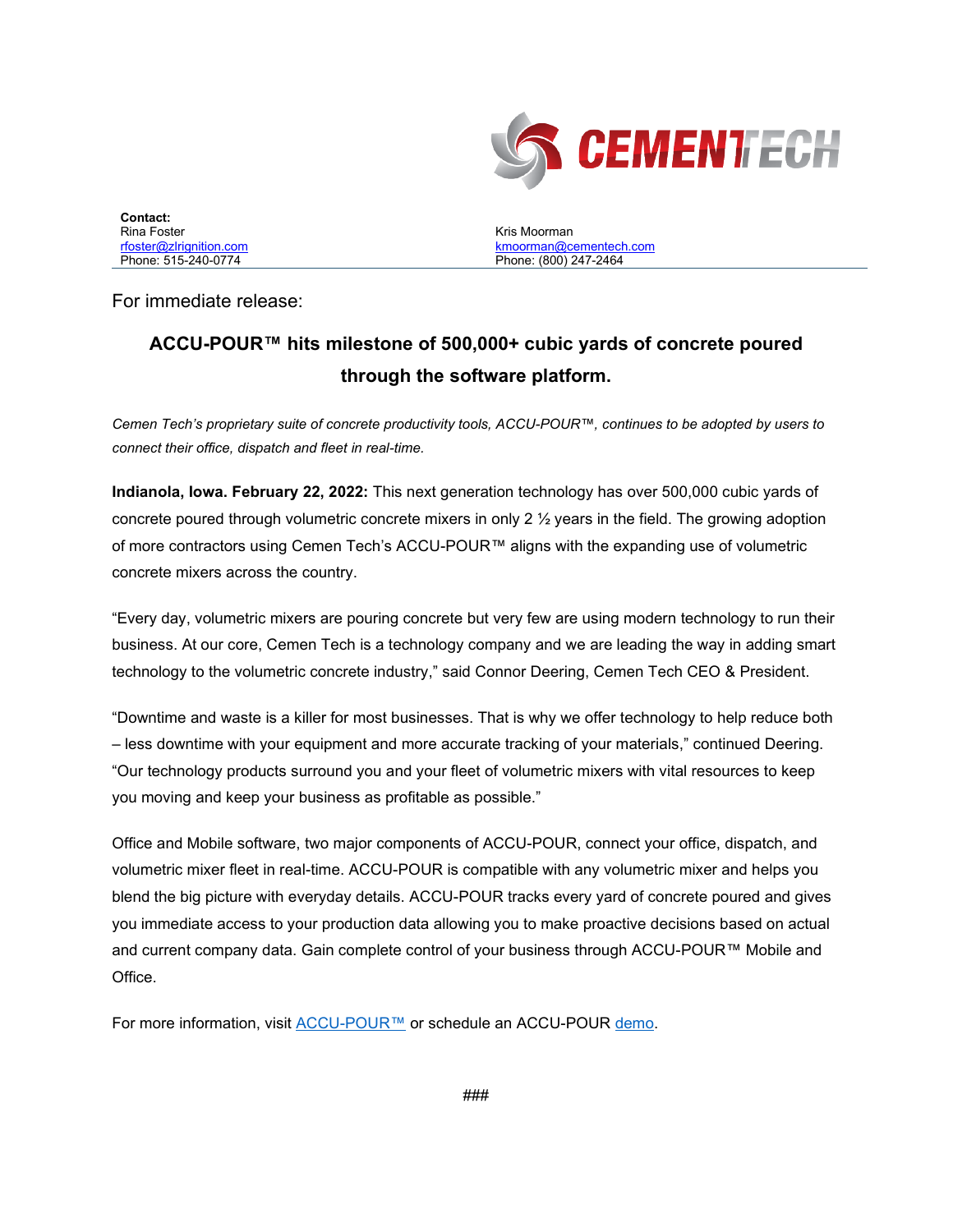

| Contact:                |
|-------------------------|
| Rina Foster             |
| rfoster@zlrignition.com |
| Phone: 515-240-0774     |

Kris Moorman [kmoorman@cementech.com](mailto:kmoorman@cementech.com) Phone: (800) 247-2464

For immediate release:

## **ACCU-POUR™ hits milestone of 500,000+ cubic yards of concrete poured through the software platform.**

*Cemen Tech's proprietary suite of concrete productivity tools, ACCU-POUR™, continues to be adopted by users to connect their office, dispatch and fleet in real-time.* 

**Indianola, Iowa. February 22, 2022:** This next generation technology has over 500,000 cubic yards of concrete poured through volumetric concrete mixers in only 2 ½ years in the field. The growing adoption of more contractors using Cemen Tech's ACCU-POUR™ aligns with the expanding use of volumetric concrete mixers across the country.

"Every day, volumetric mixers are pouring concrete but very few are using modern technology to run their business. At our core, Cemen Tech is a technology company and we are leading the way in adding smart technology to the volumetric concrete industry," said Connor Deering, Cemen Tech CEO & President.

"Downtime and waste is a killer for most businesses. That is why we offer technology to help reduce both – less downtime with your equipment and more accurate tracking of your materials," continued Deering. "Our technology products surround you and your fleet of volumetric mixers with vital resources to keep you moving and keep your business as profitable as possible."

Office and Mobile software, two major components of ACCU-POUR, connect your office, dispatch, and volumetric mixer fleet in real-time. ACCU-POUR is compatible with any volumetric mixer and helps you blend the big picture with everyday details. ACCU-POUR tracks every yard of concrete poured and gives you immediate access to your production data allowing you to make proactive decisions based on actual and current company data. Gain complete control of your business through ACCU-POUR™ Mobile and Office.

For more information, visit [ACCU-POUR™](http://accupour.com/) or schedule an ACCU-POUR [demo.](http://accupour.com/)